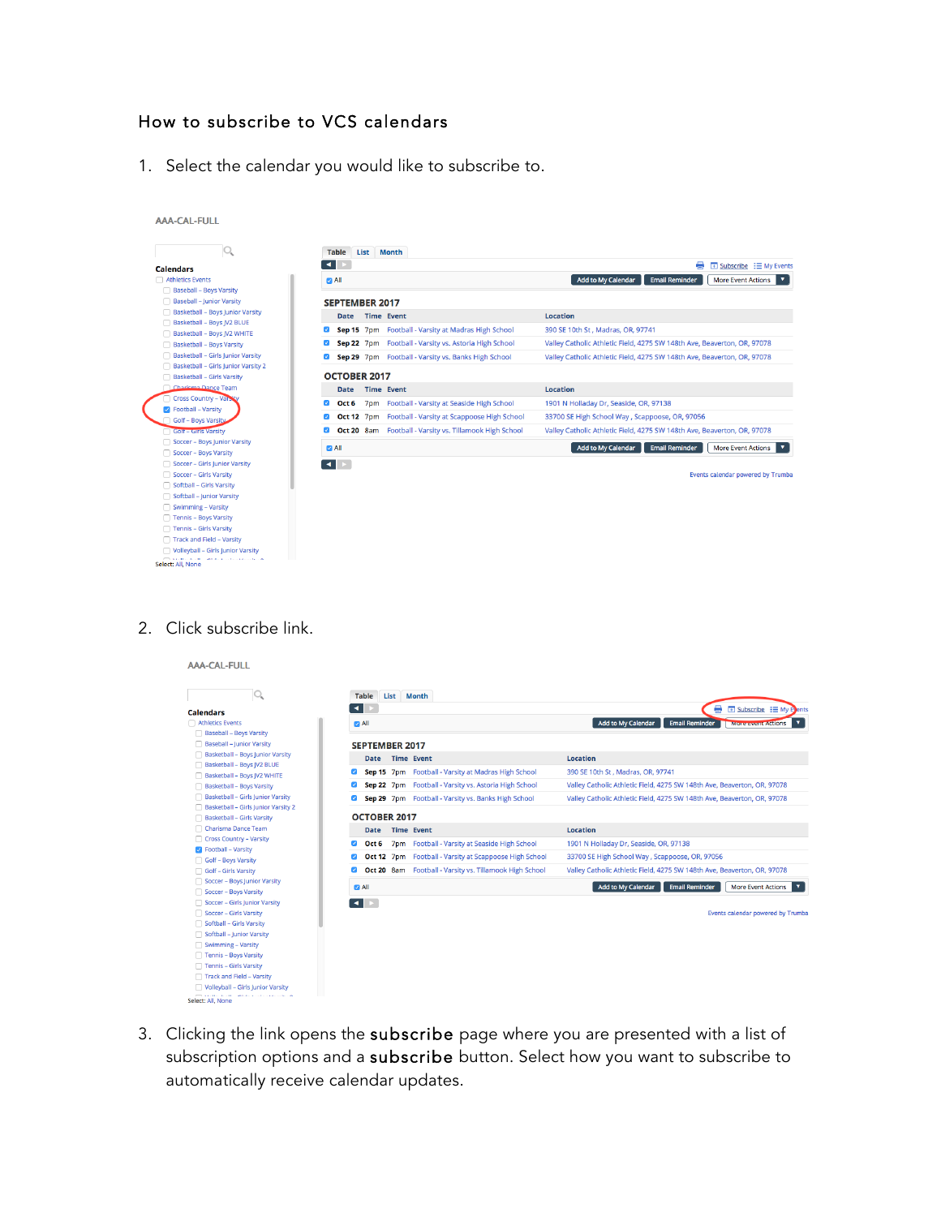# How to subscribe to VCS calendars

1. Select the calendar you would like to subscribe to.

| <b>Calendars</b><br>□ Athletics Events<br>Add to My Calendar<br><b>Email Reminder</b><br>$\blacksquare$ All<br>Baseball - Boys Varsity<br>Baseball - Junior Varsity<br><b>SEPTEMBER 2017</b><br>Basketball - Boys Junior Varsity<br><b>Location</b><br><b>Time Event</b><br><b>Date</b><br>Basketball - Boys JV2 BLUE<br>Sep 15 7pm Football - Varsity at Madras High School<br>390 SE 10th St, Madras, OR, 97741<br>Basketball - Boys JV2 WHITE<br>Sep 22 7pm Football - Varsity vs. Astoria High School<br>Basketball - Boys Varsity<br>Basketball - Girls Junior Varsity<br>Sep 29 7pm Football - Varsity vs. Banks High School<br>Basketball - Girls Junior Varsity 2<br><b>OCTOBER 2017</b><br>Basketball - Girls Varsity<br>Charlema Dance Team<br><b>Time Event</b><br>Location<br><b>Date</b><br>Cross Country - Valsity<br>7pm Football - Varsity at Seaside High School<br>1901 N Holladay Dr, Seaside, OR, 97138<br>Oct 6<br>ø<br><b>Z</b> Football - Varsity<br>Oct 12 7pm Football - Varsity at Scappoose High School<br>33700 SE High School Way, Scappoose, OR, 97056<br>Golf - Boys Varsity<br>Oct 20 8am Football - Varsity vs. Tillamook High School<br><b>Golf - Girls Varsity</b><br>$\blacktriangleright$<br>Soccer - Boys Junior Varsity<br>Add to My Calendar<br><b>Email Reminder</b><br><b>More Event Actions</b><br>$\blacksquare$ All<br>Soccer - Boys Varsity<br>Soccer - Girls Junior Varsity<br>$\blacksquare$<br>Soccer - Girls Varsity<br>Softball - Girls Varsity<br>Softball - Junior Varsity<br>Swimming - Varsity<br>Tennis - Boys Varsity | List Month<br><b>Table</b> |                                                                         |
|--------------------------------------------------------------------------------------------------------------------------------------------------------------------------------------------------------------------------------------------------------------------------------------------------------------------------------------------------------------------------------------------------------------------------------------------------------------------------------------------------------------------------------------------------------------------------------------------------------------------------------------------------------------------------------------------------------------------------------------------------------------------------------------------------------------------------------------------------------------------------------------------------------------------------------------------------------------------------------------------------------------------------------------------------------------------------------------------------------------------------------------------------------------------------------------------------------------------------------------------------------------------------------------------------------------------------------------------------------------------------------------------------------------------------------------------------------------------------------------------------------------------------------------------------------------------------------|----------------------------|-------------------------------------------------------------------------|
|                                                                                                                                                                                                                                                                                                                                                                                                                                                                                                                                                                                                                                                                                                                                                                                                                                                                                                                                                                                                                                                                                                                                                                                                                                                                                                                                                                                                                                                                                                                                                                                | $\blacktriangleleft$       | ⇔<br>$\overline{+}$ Subscribe $\overline{=}$ My Events                  |
|                                                                                                                                                                                                                                                                                                                                                                                                                                                                                                                                                                                                                                                                                                                                                                                                                                                                                                                                                                                                                                                                                                                                                                                                                                                                                                                                                                                                                                                                                                                                                                                |                            | <b>More Event Actions</b><br>۷                                          |
|                                                                                                                                                                                                                                                                                                                                                                                                                                                                                                                                                                                                                                                                                                                                                                                                                                                                                                                                                                                                                                                                                                                                                                                                                                                                                                                                                                                                                                                                                                                                                                                |                            |                                                                         |
|                                                                                                                                                                                                                                                                                                                                                                                                                                                                                                                                                                                                                                                                                                                                                                                                                                                                                                                                                                                                                                                                                                                                                                                                                                                                                                                                                                                                                                                                                                                                                                                |                            |                                                                         |
|                                                                                                                                                                                                                                                                                                                                                                                                                                                                                                                                                                                                                                                                                                                                                                                                                                                                                                                                                                                                                                                                                                                                                                                                                                                                                                                                                                                                                                                                                                                                                                                |                            |                                                                         |
|                                                                                                                                                                                                                                                                                                                                                                                                                                                                                                                                                                                                                                                                                                                                                                                                                                                                                                                                                                                                                                                                                                                                                                                                                                                                                                                                                                                                                                                                                                                                                                                |                            |                                                                         |
|                                                                                                                                                                                                                                                                                                                                                                                                                                                                                                                                                                                                                                                                                                                                                                                                                                                                                                                                                                                                                                                                                                                                                                                                                                                                                                                                                                                                                                                                                                                                                                                |                            | Valley Catholic Athletic Field, 4275 SW 148th Ave, Beaverton, OR, 97078 |
|                                                                                                                                                                                                                                                                                                                                                                                                                                                                                                                                                                                                                                                                                                                                                                                                                                                                                                                                                                                                                                                                                                                                                                                                                                                                                                                                                                                                                                                                                                                                                                                |                            | Valley Catholic Athletic Field, 4275 SW 148th Ave, Beaverton, OR, 97078 |
|                                                                                                                                                                                                                                                                                                                                                                                                                                                                                                                                                                                                                                                                                                                                                                                                                                                                                                                                                                                                                                                                                                                                                                                                                                                                                                                                                                                                                                                                                                                                                                                |                            |                                                                         |
|                                                                                                                                                                                                                                                                                                                                                                                                                                                                                                                                                                                                                                                                                                                                                                                                                                                                                                                                                                                                                                                                                                                                                                                                                                                                                                                                                                                                                                                                                                                                                                                |                            |                                                                         |
|                                                                                                                                                                                                                                                                                                                                                                                                                                                                                                                                                                                                                                                                                                                                                                                                                                                                                                                                                                                                                                                                                                                                                                                                                                                                                                                                                                                                                                                                                                                                                                                |                            |                                                                         |
|                                                                                                                                                                                                                                                                                                                                                                                                                                                                                                                                                                                                                                                                                                                                                                                                                                                                                                                                                                                                                                                                                                                                                                                                                                                                                                                                                                                                                                                                                                                                                                                |                            |                                                                         |
|                                                                                                                                                                                                                                                                                                                                                                                                                                                                                                                                                                                                                                                                                                                                                                                                                                                                                                                                                                                                                                                                                                                                                                                                                                                                                                                                                                                                                                                                                                                                                                                |                            |                                                                         |
|                                                                                                                                                                                                                                                                                                                                                                                                                                                                                                                                                                                                                                                                                                                                                                                                                                                                                                                                                                                                                                                                                                                                                                                                                                                                                                                                                                                                                                                                                                                                                                                |                            | Valley Catholic Athletic Field, 4275 SW 148th Ave, Beaverton, OR, 97078 |
|                                                                                                                                                                                                                                                                                                                                                                                                                                                                                                                                                                                                                                                                                                                                                                                                                                                                                                                                                                                                                                                                                                                                                                                                                                                                                                                                                                                                                                                                                                                                                                                |                            |                                                                         |
|                                                                                                                                                                                                                                                                                                                                                                                                                                                                                                                                                                                                                                                                                                                                                                                                                                                                                                                                                                                                                                                                                                                                                                                                                                                                                                                                                                                                                                                                                                                                                                                |                            | ۷.                                                                      |
|                                                                                                                                                                                                                                                                                                                                                                                                                                                                                                                                                                                                                                                                                                                                                                                                                                                                                                                                                                                                                                                                                                                                                                                                                                                                                                                                                                                                                                                                                                                                                                                |                            |                                                                         |
|                                                                                                                                                                                                                                                                                                                                                                                                                                                                                                                                                                                                                                                                                                                                                                                                                                                                                                                                                                                                                                                                                                                                                                                                                                                                                                                                                                                                                                                                                                                                                                                |                            | Events calendar powered by Trumba                                       |
|                                                                                                                                                                                                                                                                                                                                                                                                                                                                                                                                                                                                                                                                                                                                                                                                                                                                                                                                                                                                                                                                                                                                                                                                                                                                                                                                                                                                                                                                                                                                                                                |                            |                                                                         |
|                                                                                                                                                                                                                                                                                                                                                                                                                                                                                                                                                                                                                                                                                                                                                                                                                                                                                                                                                                                                                                                                                                                                                                                                                                                                                                                                                                                                                                                                                                                                                                                |                            |                                                                         |
|                                                                                                                                                                                                                                                                                                                                                                                                                                                                                                                                                                                                                                                                                                                                                                                                                                                                                                                                                                                                                                                                                                                                                                                                                                                                                                                                                                                                                                                                                                                                                                                |                            |                                                                         |
|                                                                                                                                                                                                                                                                                                                                                                                                                                                                                                                                                                                                                                                                                                                                                                                                                                                                                                                                                                                                                                                                                                                                                                                                                                                                                                                                                                                                                                                                                                                                                                                |                            |                                                                         |
|                                                                                                                                                                                                                                                                                                                                                                                                                                                                                                                                                                                                                                                                                                                                                                                                                                                                                                                                                                                                                                                                                                                                                                                                                                                                                                                                                                                                                                                                                                                                                                                |                            |                                                                         |
|                                                                                                                                                                                                                                                                                                                                                                                                                                                                                                                                                                                                                                                                                                                                                                                                                                                                                                                                                                                                                                                                                                                                                                                                                                                                                                                                                                                                                                                                                                                                                                                |                            |                                                                         |
| Tennis - Girls Varsity<br>Track and Field - Varsity                                                                                                                                                                                                                                                                                                                                                                                                                                                                                                                                                                                                                                                                                                                                                                                                                                                                                                                                                                                                                                                                                                                                                                                                                                                                                                                                                                                                                                                                                                                            |                            |                                                                         |

#### 2. Click subscribe link.

AAA-CAL-FULL

|                                                          | List<br><b>Table</b><br><b>Month</b> |                                                         |                                                                          |
|----------------------------------------------------------|--------------------------------------|---------------------------------------------------------|--------------------------------------------------------------------------|
| <b>Calendars</b>                                         | ╶╸╎<br>$\blacktriangleright$         |                                                         | ₩<br>El Subscribe : El My E                                              |
| □ Athletics Events                                       | $\Box$ All                           |                                                         | Add to My Calendar<br><b>Email Reminder</b><br><b>More event Actions</b> |
| <b>Baseball - Boys Varsity</b>                           |                                      |                                                         |                                                                          |
| Baseball - Junior Varsity                                | <b>SEPTEMBER 2017</b>                |                                                         |                                                                          |
| Basketball - Boys Junior Varsity                         | <b>Time Event</b><br><b>Date</b>     |                                                         | <b>Location</b>                                                          |
| Basketball - Boys JV2 BLUE                               |                                      | Sep 15 7pm Football - Varsity at Madras High School     | 390 SE 10th St, Madras, OR, 97741                                        |
| Basketball - Boys JV2 WHITE<br>Basketball - Boys Varsity |                                      | Sep 22 7pm Football - Varsity vs. Astoria High School   | Valley Catholic Athletic Field, 4275 SW 148th Ave, Beaverton, OR, 97078  |
| Basketball - Girls Junior Varsity                        |                                      |                                                         |                                                                          |
| Basketball - Girls Junior Varsity 2                      |                                      | Sep 29 7pm Football - Varsity vs. Banks High School     | Valley Catholic Athletic Field, 4275 SW 148th Ave, Beaverton, OR, 97078  |
| Basketball - Girls Varsity                               | OCTOBER 2017                         |                                                         |                                                                          |
| Charisma Dance Team                                      | <b>Time Event</b><br><b>Date</b>     |                                                         | <b>Location</b>                                                          |
| Cross Country - Varsity                                  | Ø<br>Oct 6                           | 7pm Football - Varsity at Seaside High School           | 1901 N Holladay Dr, Seaside, OR, 97138                                   |
| C Football - Varsity                                     |                                      |                                                         |                                                                          |
| Golf - Boys Varsity                                      |                                      | Oct 12 7pm Football - Varsity at Scappoose High School  | 33700 SE High School Way, Scappoose, OR, 97056                           |
| Golf - Girls Varsity                                     | $\blacktriangledown$                 | Oct 20 8am Football - Varsity vs. Tillamook High School | Valley Catholic Athletic Field, 4275 SW 148th Ave, Beaverton, OR, 97078  |
| Soccer - Boys Junior Varsity                             | $\blacksquare$ All                   |                                                         | Add to My Calendar<br><b>Email Reminder</b><br><b>More Event Actions</b> |
| Soccer - Boys Varsity                                    |                                      |                                                         |                                                                          |
| Soccer - Girls Junior Varsity                            | $\blacktriangleright$<br>╶╸╹         |                                                         |                                                                          |
| Soccer - Girls Varsity                                   |                                      |                                                         | Events calendar powered by Trumba                                        |
| Softball - Girls Varsity                                 |                                      |                                                         |                                                                          |
| Softball - Junior Varsity                                |                                      |                                                         |                                                                          |
| Swimming - Varsity<br>Tennis - Boys Varsity              |                                      |                                                         |                                                                          |
| Tennis - Girls Varsity                                   |                                      |                                                         |                                                                          |
| Track and Field - Varsity                                |                                      |                                                         |                                                                          |

3. Clicking the link opens the subscribe page where you are presented with a list of subscription options and a subscribe button. Select how you want to subscribe to automatically receive calendar updates.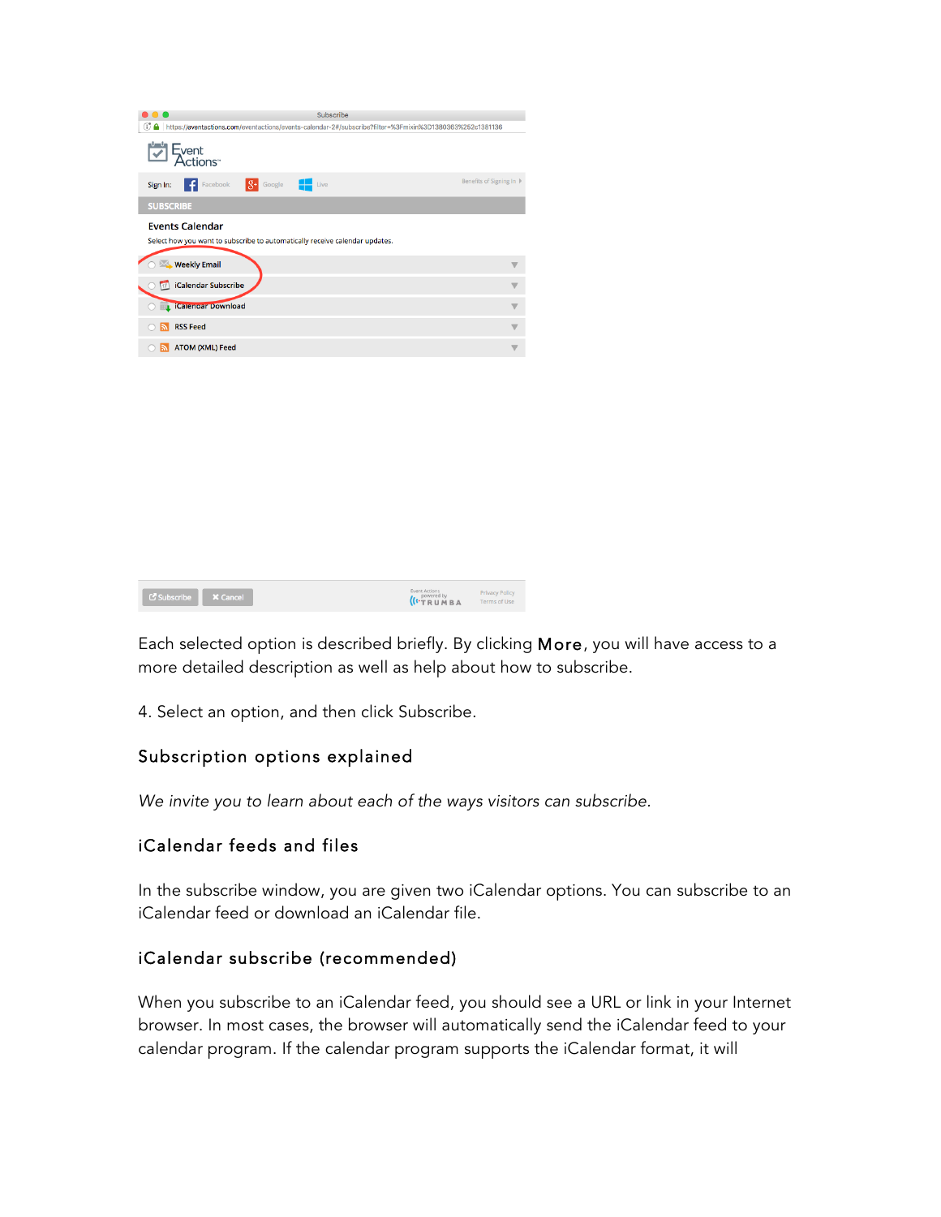| Subscribe<br>. .                                                                                              |                        |
|---------------------------------------------------------------------------------------------------------------|------------------------|
| GJ A https://eventactions.com/eventactions/events-calendar-2#/subscribe?filter=%3Fmixin%3D1380363%252c1381136 |                        |
| <b>Event</b>                                                                                                  |                        |
| $8+$ Google $-$<br>Facebook<br>Live<br>Sign In:<br>l – fil                                                    | Benefits of Signing In |
| <b>SUBSCRIBE</b>                                                                                              |                        |
| <b>Events Calendar</b><br>Select how you want to subscribe to automatically receive calendar updates.         |                        |
| <b>Weekly Email</b>                                                                                           |                        |
| iCalendar Subscribe                                                                                           |                        |
| <b>L</b> iCalendar Download                                                                                   |                        |
| <b>RSS Feed</b>                                                                                               |                        |
| <b>ATOM (XML) Feed</b>                                                                                        |                        |

| <b>C</b> Subscribe <b>X</b> Cancel | Event Actions<br>( <i>I</i> <sup>powered by BA</sup> | <b>Privacy Policy</b><br>Terms of Use |
|------------------------------------|------------------------------------------------------|---------------------------------------|
|                                    |                                                      |                                       |

Each selected option is described briefly. By clicking More, you will have access to a more detailed description as well as help about how to subscribe.

4. Select an option, and then click Subscribe.

## Subscription options explained

*We invite you to learn about each of the ways visitors can subscribe.*

#### iCalendar feeds and files

In the subscribe window, you are given two iCalendar options. You can subscribe to an iCalendar feed or download an iCalendar file.

#### iCalendar subscribe (recommended)

When you subscribe to an iCalendar feed, you should see a URL or link in your Internet browser. In most cases, the browser will automatically send the iCalendar feed to your calendar program. If the calendar program supports the iCalendar format, it will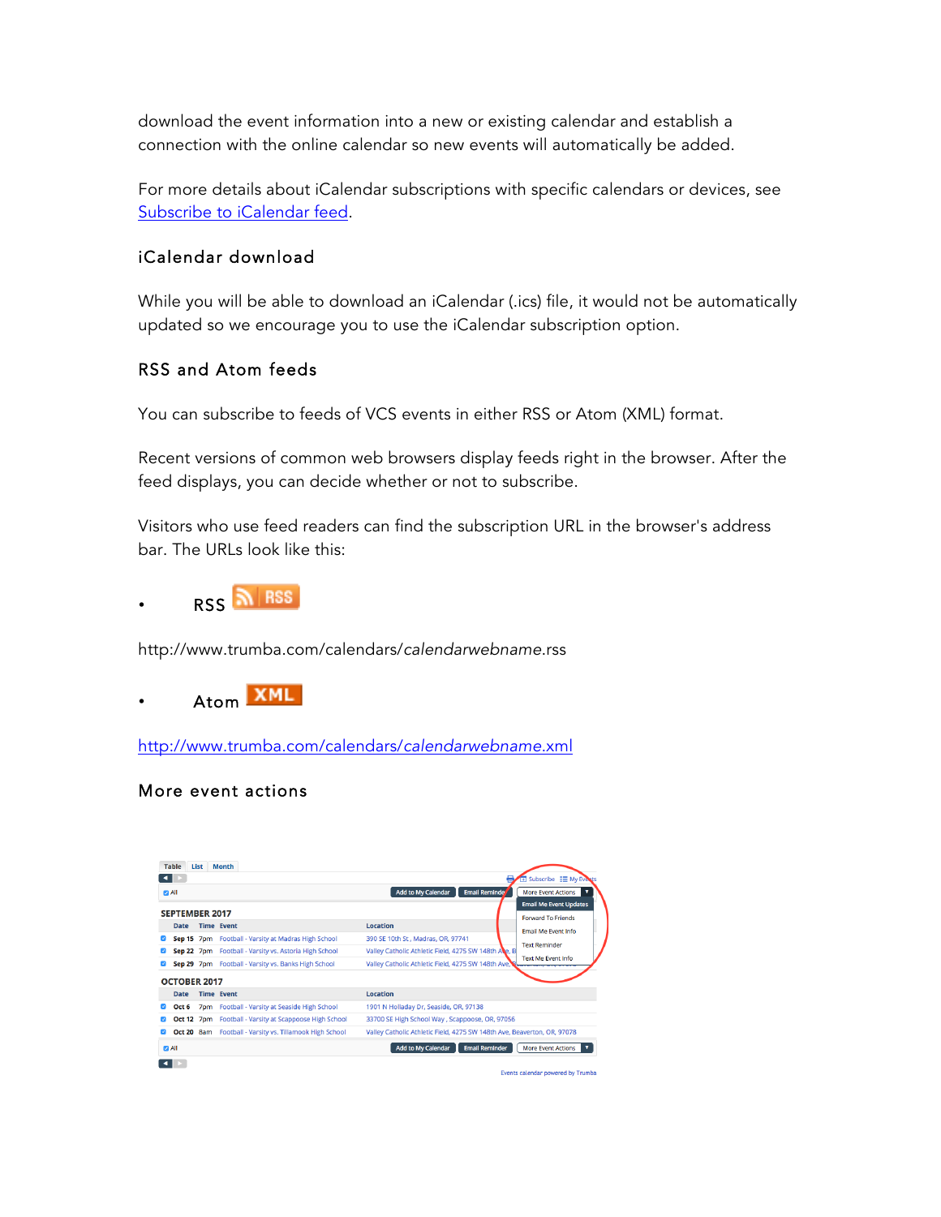download the event information into a new or existing calendar and establish a connection with the online calendar so new events will automatically be added.

For more details about iCalendar subscriptions with specific calendars or devices, see Subscribe to iCalendar feed.

### iCalendar download

While you will be able to download an iCalendar (.ics) file, it would not be automatically updated so we encourage you to use the iCalendar subscription option.

#### RSS and Atom feeds

You can subscribe to feeds of VCS events in either RSS or Atom (XML) format.

Recent versions of common web browsers display feeds right in the browser. After the feed displays, you can decide whether or not to subscribe.

Visitors who use feed readers can find the subscription URL in the browser's address bar. The URLs look like this:



http://www.trumba.com/calendars/*calendarwebname*.rss



http://www.trumba.com/calendars/*calendarwebname*.xml

#### More event actions



Events calendar powered by Trumba